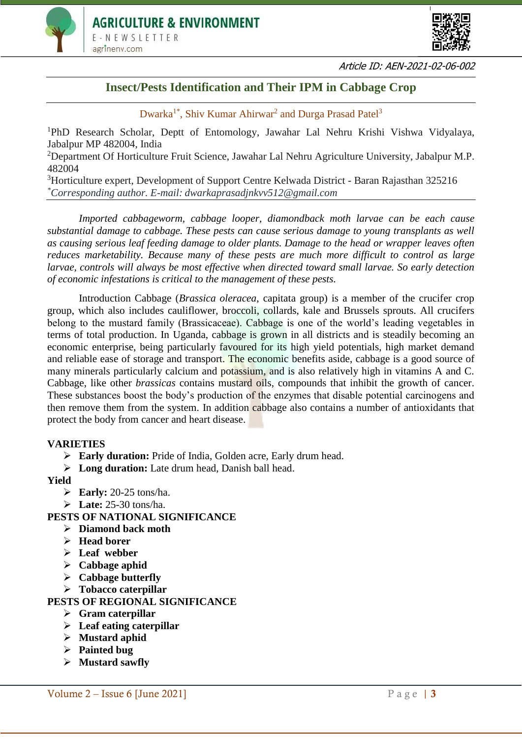



Article ID: AEN-2021-02-06-002

# **Insect/Pests Identification and Their IPM in Cabbage Crop**

Dwarka<sup>1\*</sup>, Shiv Kumar Ahirwar<sup>2</sup> and Durga Prasad Patel<sup>3</sup>

<sup>1</sup>PhD Research Scholar, Deptt of Entomology, Jawahar Lal Nehru Krishi Vishwa Vidyalaya, Jabalpur MP 482004, India

<sup>2</sup>Department Of Horticulture Fruit Science, Jawahar Lal Nehru Agriculture University, Jabalpur M.P. 482004

<sup>3</sup>Horticulture expert, Development of Support Centre Kelwada District - Baran Rajasthan 325216 *\*Corresponding author. E-mail: dwarkaprasadjnkvv512@gmail.com*

*Imported cabbageworm, cabbage looper, diamondback moth larvae can be each cause substantial damage to cabbage. These pests can cause serious damage to young transplants as well as causing serious leaf feeding damage to older plants. Damage to the head or wrapper leaves often reduces marketability. Because many of these pests are much more difficult to control as large larvae, controls will always be most effective when directed toward small larvae. So early detection of economic infestations is critical to the management of these pests.*

Introduction Cabbage (*Brassica oleracea*, capitata group) is a member of the crucifer crop group, which also includes cauliflower, broccoli, collards, kale and Brussels sprouts. All crucifers belong to the mustard family (Brassicaceae). Cabbage is one of the world's leading vegetables in terms of total production. In Uganda, cabbage is grown in all districts and is steadily becoming an economic enterprise, being particularly favoured for its high yield potentials, high market demand and reliable ease of storage and transport. The economic benefits aside, cabbage is a good source of many minerals particularly calcium and **potassium**, and is also relatively high in vitamins A and C. Cabbage, like other *brassicas* contains mustard oils, compounds that inhibit the growth of cancer. These substances boost the body's production of the enzymes that disable potential carcinogens and then remove them from the system. In addition cabbage also contains a number of antioxidants that protect the body from cancer and heart disease.

#### **VARIETIES**

- **Early duration:** Pride of India, Golden acre, Early drum head.
- **Long duration:** Late drum head, Danish ball head.

**Yield**

- **Early:** 20-25 tons/ha.
- **Late:** 25-30 tons/ha.

#### **PESTS OF NATIONAL SIGNIFICANCE**

- **Diamond back moth**
- **Head borer**
- **Leaf webber**
- **Cabbage aphid**
- **Cabbage butterfly**
- **Tobacco caterpillar**

#### **PESTS OF REGIONAL SIGNIFICANCE**

- **Gram caterpillar**
- **Leaf eating caterpillar**
- **Mustard aphid**
- **Painted bug**
- **Mustard sawfly**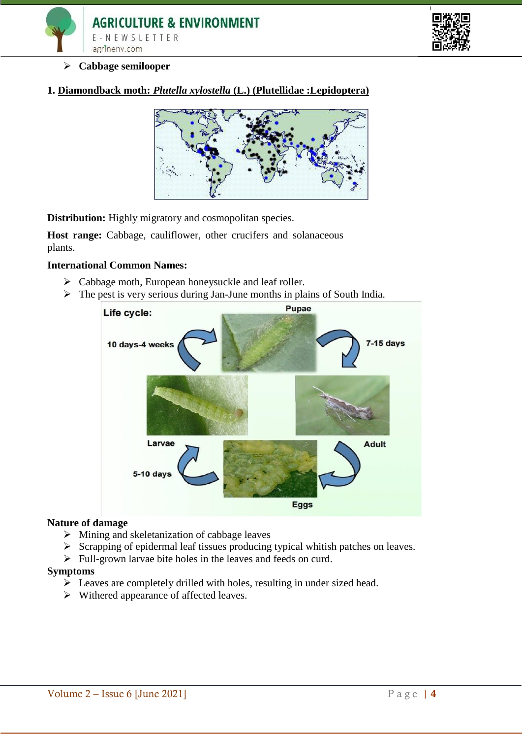



#### **Cabbage semilooper**

**1. Diamondback moth:** *Plutella xylostella* **(L.) (Plutellidae :Lepidoptera)**



**Distribution:** Highly migratory and cosmopolitan species.

Host range: Cabbage, cauliflower, other crucifers and solanaceous plants.

#### **International Common Names:**

- $\triangleright$  Cabbage moth, European honeysuckle and leaf roller.
- $\triangleright$  The pest is very serious during Jan-June months in plains of South India.



#### **Nature of damage**

- $\triangleright$  Mining and skeletanization of cabbage leaves
- $\triangleright$  Scrapping of epidermal leaf tissues producing typical whitish patches on leaves.
- $\triangleright$  Full-grown larvae bite holes in the leaves and feeds on curd.

#### **Symptoms**

- $\triangleright$  Leaves are completely drilled with holes, resulting in under sized head.
- $\triangleright$  Withered appearance of affected leaves.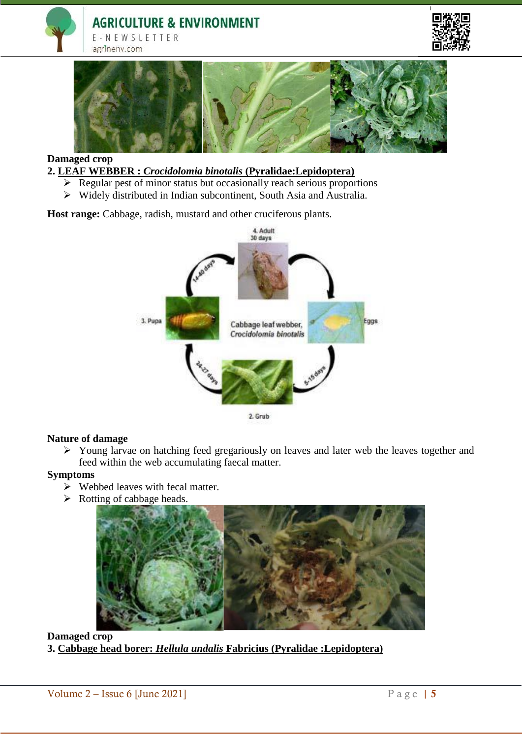





# **Damaged crop**

**2. LEAF WEBBER :** *Crocidolomia binotalis* **(Pyralidae:Lepidoptera)**

- $\triangleright$  Regular pest of minor status but occasionally reach serious proportions
- Widely distributed in Indian subcontinent, South Asia and Australia.

Host range: Cabbage, radish, mustard and other cruciferous plants.



#### **Nature of damage**

 Young larvae on hatching feed gregariously on leaves and later web the leaves together and feed within the web accumulating faecal matter.

#### **Symptoms**

- $\triangleright$  Webbed leaves with fecal matter.
- $\triangleright$  Rotting of cabbage heads.



#### **Damaged crop 3. Cabbage head borer:** *Hellula undalis* **Fabricius (Pyralidae :Lepidoptera)**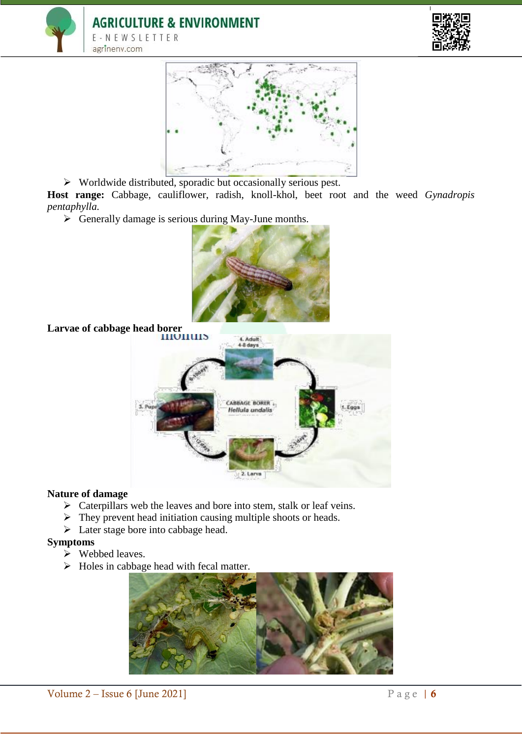





Worldwide distributed, sporadic but occasionally serious pest.

**Host range:** Cabbage, cauliflower, radish, knoll-khol, beet root and the weed *Gynadropis pentaphylla.* 

 $\triangleright$  Generally damage is serious during May-June months.



**Larvae of cabbage head borer**



#### **Nature of damage**

- $\triangleright$  Caterpillars web the leaves and bore into stem, stalk or leaf veins.
- $\triangleright$  They prevent head initiation causing multiple shoots or heads.
- $\triangleright$  Later stage bore into cabbage head.

#### **Symptoms**

- $\triangleright$  Webbed leaves.
- $\triangleright$  Holes in cabbage head with fecal matter.

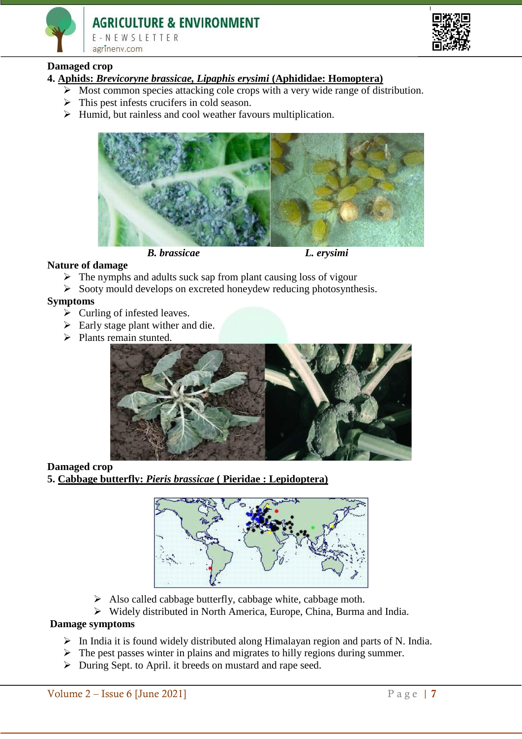

F-NEWSIFTTER agrineny.com



# **Damaged crop**

- **4. Aphids:** *Brevicoryne brassicae, Lipaphis erysimi* **(Aphididae: Homoptera)**
	- $\triangleright$  Most common species attacking cole crops with a very wide range of distribution.
	- $\triangleright$  This pest infests crucifers in cold season.
	- $\triangleright$  Humid, but rainless and cool weather favours multiplication.



#### **Nature of damage**

- $\triangleright$  The nymphs and adults suck sap from plant causing loss of vigour
- $\triangleright$  Sooty mould develops on excreted honeydew reducing photosynthesis.

#### **Symptoms**

- $\sum$  Curling of infested leaves.
- $\triangleright$  Early stage plant wither and die.
- $\triangleright$  Plants remain stunted.



#### **Damaged crop**

**5. Cabbage butterfly:** *Pieris brassicae* **( Pieridae : Lepidoptera)**



- $\triangleright$  Also called cabbage butterfly, cabbage white, cabbage moth.
- Widely distributed in North America, Europe, China, Burma and India.

#### **Damage symptoms**

- $\triangleright$  In India it is found widely distributed along Himalayan region and parts of N. India.
- $\triangleright$  The pest passes winter in plains and migrates to hilly regions during summer.
- During Sept. to April. it breeds on mustard and rape seed.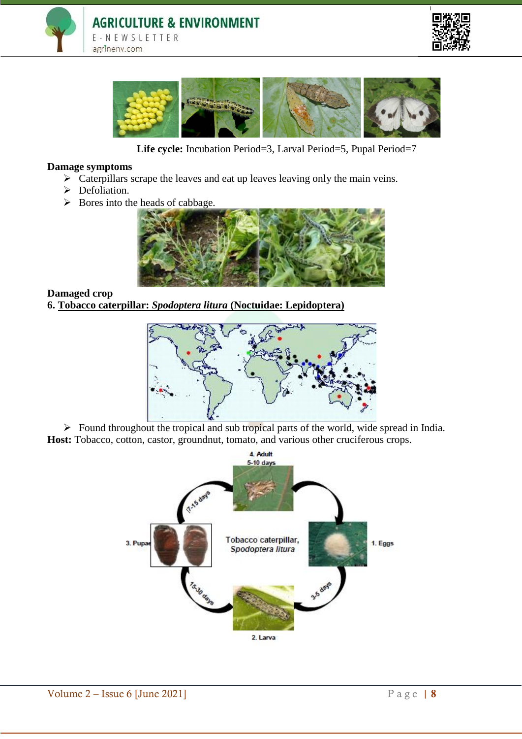





**Life cycle:** Incubation Period=3, Larval Period=5, Pupal Period=7

#### **Damage symptoms**

- $\triangleright$  Caterpillars scrape the leaves and eat up leaves leaving only the main veins.
- > Defoliation.
- $\triangleright$  Bores into the heads of cabbage.



#### **Damaged crop**

**6. Tobacco caterpillar:** *Spodoptera litura* **(Noctuidae: Lepidoptera)**



 $\triangleright$  Found throughout the tropical and sub tropical parts of the world, wide spread in India. **Host:** Tobacco, cotton, castor, groundnut, tomato, and various other cruciferous crops.

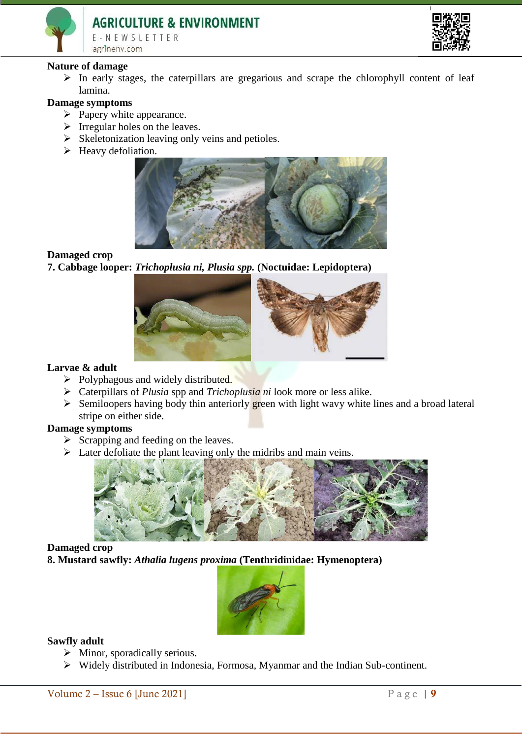# **AGRICULTURE & ENVIRONMENT** E-NEWSLETTER agrinenv.com



#### **Nature of damage**

 $\triangleright$  In early stages, the caterpillars are gregarious and scrape the chlorophyll content of leaf lamina.

## **Damage symptoms**

- $\triangleright$  Papery white appearance.
- $\triangleright$  Irregular holes on the leaves.
- $\triangleright$  Skeletonization leaving only veins and petioles.
- $\blacktriangleright$  Heavy defoliation.



#### **Damaged crop**

**7. Cabbage looper:** *Trichoplusia ni, Plusia spp.* **(Noctuidae: Lepidoptera)**



#### **Larvae & adult**

- $\triangleright$  Polyphagous and widely distributed.
- Caterpillars of *Plusia* spp and *Trichoplusia ni* look more or less alike.
- $\triangleright$  Semiloopers having body thin anteriorly green with light wavy white lines and a broad lateral stripe on either side.

# **Damage symptoms**

- $\triangleright$  Scrapping and feeding on the leaves.
- $\triangleright$  Later defoliate the plant leaving only the midribs and main veins.



#### **Damaged crop**

**8. Mustard sawfly:** *Athalia lugens proxima* **(Tenthridinidae: Hymenoptera)** 



#### **Sawfly adult**

- $\triangleright$  Minor, sporadically serious.
- Widely distributed in Indonesia, Formosa, Myanmar and the Indian Sub-continent.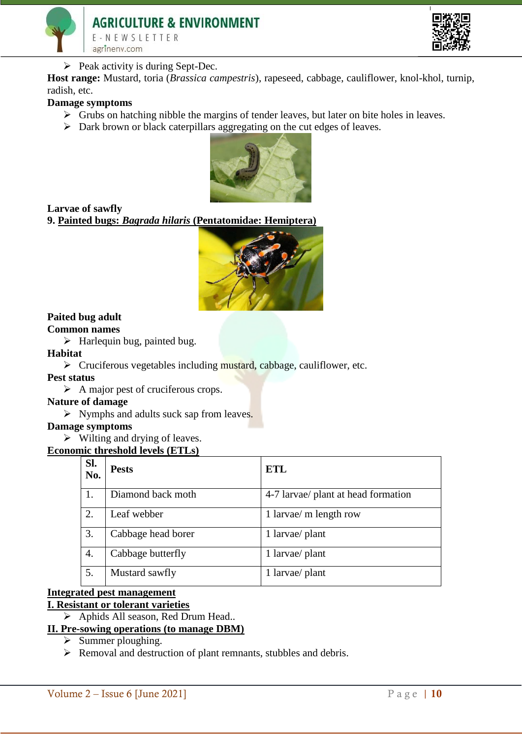



 $\triangleright$  Peak activity is during Sept-Dec.

**Host range:** Mustard, toria (*Brassica campestris*), rapeseed, cabbage, cauliflower, knol-khol, turnip, radish, etc.

#### **Damage symptoms**

- $\triangleright$  Grubs on hatching nibble the margins of tender leaves, but later on bite holes in leaves.
- $\triangleright$  Dark brown or black caterpillars aggregating on the cut edges of leaves.



**Larvae of sawfly**

**9. Painted bugs:** *Bagrada hilaris* **(Pentatomidae: Hemiptera)**



# **Paited bug adult**

# **Common names**

 $\triangleright$  Harlequin bug, painted bug.

#### **Habitat**

 $\triangleright$  Cruciferous vegetables including mustard, cabbage, cauliflower, etc.

#### **Pest status**

 $\triangleright$  A major pest of cruciferous crops.

#### **Nature of damage**

 $\triangleright$  Nymphs and adults suck sap from leaves.

#### **Damage symptoms**

 $\triangleright$  Wilting and drying of leaves.

#### **Economic threshold levels (ETLs)**

| SI.<br>No. | <b>Pests</b>       | ETL                                 |
|------------|--------------------|-------------------------------------|
| 1.         | Diamond back moth  | 4-7 larvae/ plant at head formation |
| 2.         | Leaf webber        | 1 larvae/ m length row              |
| 3.         | Cabbage head borer | 1 larvae/ plant                     |
| 4.         | Cabbage butterfly  | 1 larvae/ plant                     |
| 5.         | Mustard sawfly     | 1 larvae/ plant                     |

#### **Integrated pest management I. Resistant or tolerant varieties**

- Aphids All season, Red Drum Head..
- **II. Pre-sowing operations (to manage DBM)**
	- $\triangleright$  Summer ploughing.
	- $\triangleright$  Removal and destruction of plant remnants, stubbles and debris.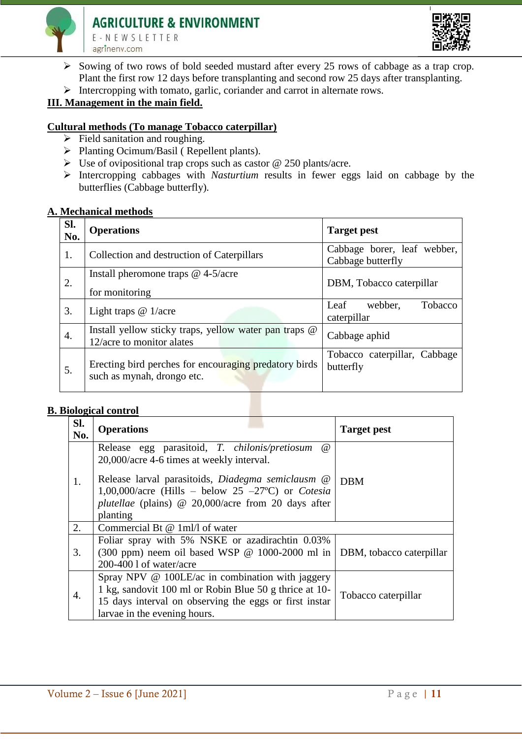



- $\triangleright$  Sowing of two rows of bold seeded mustard after every 25 rows of cabbage as a trap crop. Plant the first row 12 days before transplanting and second row 25 days after transplanting.
- $\triangleright$  Intercropping with tomato, garlic, coriander and carrot in alternate rows.

# **III. Management in the main field.**

### **Cultural methods (To manage Tobacco caterpillar)**

- $\triangleright$  Field sanitation and roughing.
- ▶ Planting Ocimum/Basil ( Repellent plants).
- $\triangleright$  Use of ovipositional trap crops such as castor @ 250 plants/acre.
- Intercropping cabbages with *Nasturtium* results in fewer eggs laid on cabbage by the butterflies (Cabbage butterfly)*.*

#### **A. Mechanical methods**

| SI.<br>No. | <b>Operations</b>                                                                   | <b>Target pest</b>                               |
|------------|-------------------------------------------------------------------------------------|--------------------------------------------------|
| 1.         | Collection and destruction of Caterpillars                                          | Cabbage borer, leaf webber,<br>Cabbage butterfly |
| 2.         | Install pheromone traps $@$ 4-5/acre<br>for monitoring                              | DBM, Tobacco caterpillar                         |
| 3.         | Light traps $@1/acre$                                                               | webber.<br>Leaf<br>Tobacco<br>caterpillar        |
| 4.         | Install yellow sticky traps, yellow water pan traps @<br>12/acre to monitor alates  | Cabbage aphid                                    |
| 5.         | Erecting bird perches for encouraging predatory birds<br>such as mynah, drongo etc. | Tobacco caterpillar, Cabbage<br>butterfly        |

#### **B. Biological control**

| Sl.<br>No.       | <b>Operations</b>                                                                                                                                                                                                                                                                                         | <b>Target pest</b>  |  |
|------------------|-----------------------------------------------------------------------------------------------------------------------------------------------------------------------------------------------------------------------------------------------------------------------------------------------------------|---------------------|--|
| 1.               | Release egg parasitoid, T. chilonis/pretiosum<br>$\omega$<br>20,000/acre 4-6 times at weekly interval.<br>Release larval parasitoids, Diadegma semiclausm @<br>1,00,000/acre (Hills – below 25 –27 °C) or <i>Cotesia</i><br><i>plutellae</i> (plains) $\omega$ 20,000/acre from 20 days after<br>planting | <b>DBM</b>          |  |
| $\overline{2}$ . | Commercial Bt @ 1ml/l of water                                                                                                                                                                                                                                                                            |                     |  |
| 3.               | Foliar spray with 5% NSKE or azadirachtin 0.03%<br>(300 ppm) neem oil based WSP @ 1000-2000 ml in   DBM, tobacco caterpillar<br>$200-4001$ of water/acre                                                                                                                                                  |                     |  |
| 4.               | Spray NPV @ 100LE/ac in combination with jaggery<br>1 kg, sandovit 100 ml or Robin Blue 50 g thrice at 10-<br>15 days interval on observing the eggs or first instar<br>larvae in the evening hours.                                                                                                      | Tobacco caterpillar |  |